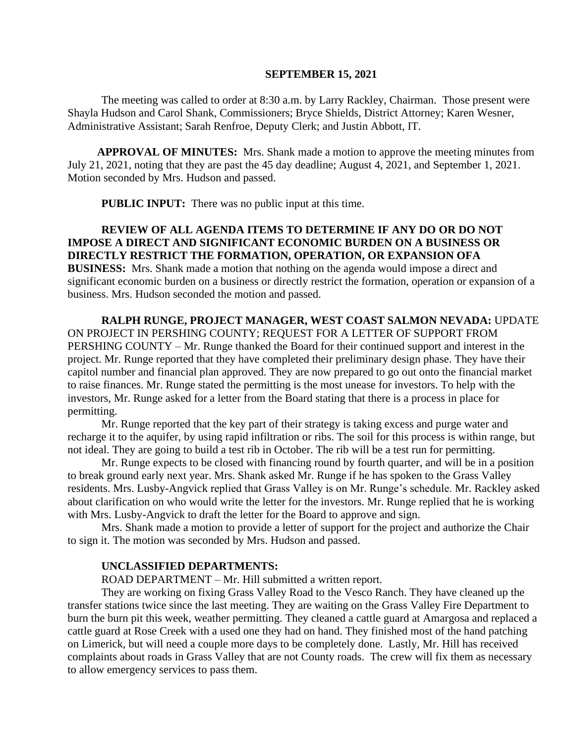#### **SEPTEMBER 15, 2021**

The meeting was called to order at 8:30 a.m. by Larry Rackley, Chairman. Those present were Shayla Hudson and Carol Shank, Commissioners; Bryce Shields, District Attorney; Karen Wesner, Administrative Assistant; Sarah Renfroe, Deputy Clerk; and Justin Abbott, IT.

**APPROVAL OF MINUTES:** Mrs. Shank made a motion to approve the meeting minutes from July 21, 2021, noting that they are past the 45 day deadline; August 4, 2021, and September 1, 2021. Motion seconded by Mrs. Hudson and passed.

**PUBLIC INPUT:** There was no public input at this time.

# **REVIEW OF ALL AGENDA ITEMS TO DETERMINE IF ANY DO OR DO NOT IMPOSE A DIRECT AND SIGNIFICANT ECONOMIC BURDEN ON A BUSINESS OR DIRECTLY RESTRICT THE FORMATION, OPERATION, OR EXPANSION OFA BUSINESS:** Mrs. Shank made a motion that nothing on the agenda would impose a direct and significant economic burden on a business or directly restrict the formation, operation or expansion of a business. Mrs. Hudson seconded the motion and passed.

**RALPH RUNGE, PROJECT MANAGER, WEST COAST SALMON NEVADA:** UPDATE ON PROJECT IN PERSHING COUNTY; REQUEST FOR A LETTER OF SUPPORT FROM PERSHING COUNTY – Mr. Runge thanked the Board for their continued support and interest in the project. Mr. Runge reported that they have completed their preliminary design phase. They have their capitol number and financial plan approved. They are now prepared to go out onto the financial market to raise finances. Mr. Runge stated the permitting is the most unease for investors. To help with the investors, Mr. Runge asked for a letter from the Board stating that there is a process in place for permitting.

Mr. Runge reported that the key part of their strategy is taking excess and purge water and recharge it to the aquifer, by using rapid infiltration or ribs. The soil for this process is within range, but not ideal. They are going to build a test rib in October. The rib will be a test run for permitting.

Mr. Runge expects to be closed with financing round by fourth quarter, and will be in a position to break ground early next year. Mrs. Shank asked Mr. Runge if he has spoken to the Grass Valley residents. Mrs. Lusby-Angvick replied that Grass Valley is on Mr. Runge's schedule. Mr. Rackley asked about clarification on who would write the letter for the investors. Mr. Runge replied that he is working with Mrs. Lusby-Angvick to draft the letter for the Board to approve and sign.

Mrs. Shank made a motion to provide a letter of support for the project and authorize the Chair to sign it. The motion was seconded by Mrs. Hudson and passed.

#### **UNCLASSIFIED DEPARTMENTS:**

ROAD DEPARTMENT – Mr. Hill submitted a written report.

They are working on fixing Grass Valley Road to the Vesco Ranch. They have cleaned up the transfer stations twice since the last meeting. They are waiting on the Grass Valley Fire Department to burn the burn pit this week, weather permitting. They cleaned a cattle guard at Amargosa and replaced a cattle guard at Rose Creek with a used one they had on hand. They finished most of the hand patching on Limerick, but will need a couple more days to be completely done. Lastly, Mr. Hill has received complaints about roads in Grass Valley that are not County roads. The crew will fix them as necessary to allow emergency services to pass them.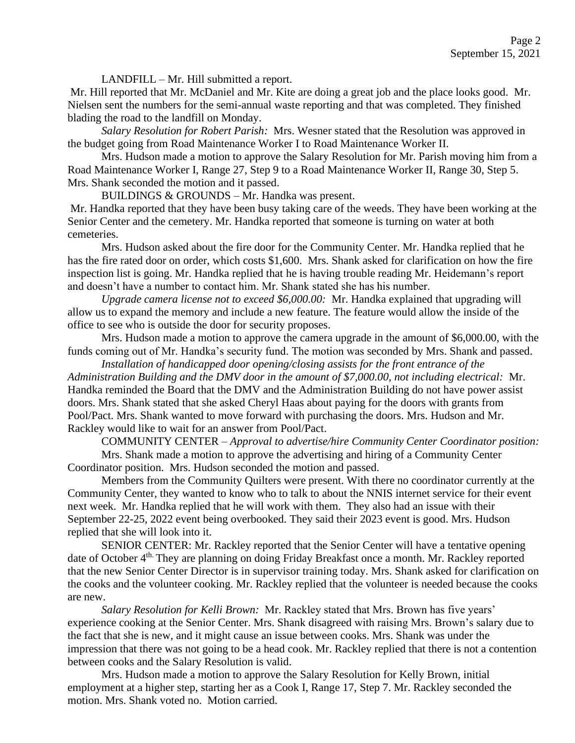LANDFILL – Mr. Hill submitted a report.

Mr. Hill reported that Mr. McDaniel and Mr. Kite are doing a great job and the place looks good. Mr. Nielsen sent the numbers for the semi-annual waste reporting and that was completed. They finished blading the road to the landfill on Monday.

*Salary Resolution for Robert Parish:* Mrs. Wesner stated that the Resolution was approved in the budget going from Road Maintenance Worker I to Road Maintenance Worker II.

Mrs. Hudson made a motion to approve the Salary Resolution for Mr. Parish moving him from a Road Maintenance Worker I, Range 27, Step 9 to a Road Maintenance Worker II, Range 30, Step 5. Mrs. Shank seconded the motion and it passed.

BUILDINGS & GROUNDS – Mr. Handka was present.

Mr. Handka reported that they have been busy taking care of the weeds. They have been working at the Senior Center and the cemetery. Mr. Handka reported that someone is turning on water at both cemeteries.

Mrs. Hudson asked about the fire door for the Community Center. Mr. Handka replied that he has the fire rated door on order, which costs \$1,600. Mrs. Shank asked for clarification on how the fire inspection list is going. Mr. Handka replied that he is having trouble reading Mr. Heidemann's report and doesn't have a number to contact him. Mr. Shank stated she has his number.

*Upgrade camera license not to exceed \$6,000.00:* Mr. Handka explained that upgrading will allow us to expand the memory and include a new feature. The feature would allow the inside of the office to see who is outside the door for security proposes.

Mrs. Hudson made a motion to approve the camera upgrade in the amount of \$6,000.00, with the funds coming out of Mr. Handka's security fund. The motion was seconded by Mrs. Shank and passed.

*Installation of handicapped door opening/closing assists for the front entrance of the Administration Building and the DMV door in the amount of \$7,000.00, not including electrical:* Mr. Handka reminded the Board that the DMV and the Administration Building do not have power assist doors. Mrs. Shank stated that she asked Cheryl Haas about paying for the doors with grants from Pool/Pact. Mrs. Shank wanted to move forward with purchasing the doors. Mrs. Hudson and Mr. Rackley would like to wait for an answer from Pool/Pact.

COMMUNITY CENTER – *Approval to advertise/hire Community Center Coordinator position:* 

Mrs. Shank made a motion to approve the advertising and hiring of a Community Center Coordinator position. Mrs. Hudson seconded the motion and passed.

Members from the Community Quilters were present. With there no coordinator currently at the Community Center, they wanted to know who to talk to about the NNIS internet service for their event next week. Mr. Handka replied that he will work with them. They also had an issue with their September 22-25, 2022 event being overbooked. They said their 2023 event is good. Mrs. Hudson replied that she will look into it.

SENIOR CENTER: Mr. Rackley reported that the Senior Center will have a tentative opening date of October 4<sup>th.</sup> They are planning on doing Friday Breakfast once a month. Mr. Rackley reported that the new Senior Center Director is in supervisor training today. Mrs. Shank asked for clarification on the cooks and the volunteer cooking. Mr. Rackley replied that the volunteer is needed because the cooks are new.

*Salary Resolution for Kelli Brown:* Mr. Rackley stated that Mrs. Brown has five years' experience cooking at the Senior Center. Mrs. Shank disagreed with raising Mrs. Brown's salary due to the fact that she is new, and it might cause an issue between cooks. Mrs. Shank was under the impression that there was not going to be a head cook. Mr. Rackley replied that there is not a contention between cooks and the Salary Resolution is valid.

Mrs. Hudson made a motion to approve the Salary Resolution for Kelly Brown, initial employment at a higher step, starting her as a Cook I, Range 17, Step 7. Mr. Rackley seconded the motion. Mrs. Shank voted no. Motion carried.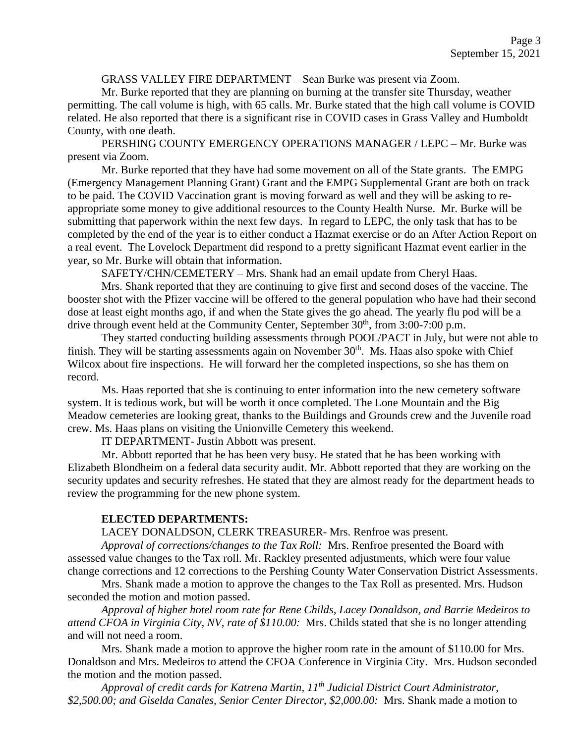### GRASS VALLEY FIRE DEPARTMENT – Sean Burke was present via Zoom.

Mr. Burke reported that they are planning on burning at the transfer site Thursday, weather permitting. The call volume is high, with 65 calls. Mr. Burke stated that the high call volume is COVID related. He also reported that there is a significant rise in COVID cases in Grass Valley and Humboldt County, with one death.

PERSHING COUNTY EMERGENCY OPERATIONS MANAGER / LEPC – Mr. Burke was present via Zoom.

Mr. Burke reported that they have had some movement on all of the State grants. The EMPG (Emergency Management Planning Grant) Grant and the EMPG Supplemental Grant are both on track to be paid. The COVID Vaccination grant is moving forward as well and they will be asking to reappropriate some money to give additional resources to the County Health Nurse. Mr. Burke will be submitting that paperwork within the next few days. In regard to LEPC, the only task that has to be completed by the end of the year is to either conduct a Hazmat exercise or do an After Action Report on a real event. The Lovelock Department did respond to a pretty significant Hazmat event earlier in the year, so Mr. Burke will obtain that information.

SAFETY/CHN/CEMETERY – Mrs. Shank had an email update from Cheryl Haas.

Mrs. Shank reported that they are continuing to give first and second doses of the vaccine. The booster shot with the Pfizer vaccine will be offered to the general population who have had their second dose at least eight months ago, if and when the State gives the go ahead. The yearly flu pod will be a drive through event held at the Community Center, September  $30<sup>th</sup>$ , from  $3:00-7:00$  p.m.

They started conducting building assessments through POOL/PACT in July, but were not able to finish. They will be starting assessments again on November  $30<sup>th</sup>$ . Ms. Haas also spoke with Chief Wilcox about fire inspections. He will forward her the completed inspections, so she has them on record.

Ms. Haas reported that she is continuing to enter information into the new cemetery software system. It is tedious work, but will be worth it once completed. The Lone Mountain and the Big Meadow cemeteries are looking great, thanks to the Buildings and Grounds crew and the Juvenile road crew. Ms. Haas plans on visiting the Unionville Cemetery this weekend.

IT DEPARTMENT- Justin Abbott was present.

Mr. Abbott reported that he has been very busy. He stated that he has been working with Elizabeth Blondheim on a federal data security audit. Mr. Abbott reported that they are working on the security updates and security refreshes. He stated that they are almost ready for the department heads to review the programming for the new phone system.

### **ELECTED DEPARTMENTS:**

LACEY DONALDSON, CLERK TREASURER- Mrs. Renfroe was present.

*Approval of corrections/changes to the Tax Roll:* Mrs. Renfroe presented the Board with assessed value changes to the Tax roll. Mr. Rackley presented adjustments, which were four value change corrections and 12 corrections to the Pershing County Water Conservation District Assessments.

Mrs. Shank made a motion to approve the changes to the Tax Roll as presented. Mrs. Hudson seconded the motion and motion passed.

*Approval of higher hotel room rate for Rene Childs, Lacey Donaldson, and Barrie Medeiros to attend CFOA in Virginia City, NV, rate of \$110.00:* Mrs. Childs stated that she is no longer attending and will not need a room.

Mrs. Shank made a motion to approve the higher room rate in the amount of \$110.00 for Mrs. Donaldson and Mrs. Medeiros to attend the CFOA Conference in Virginia City. Mrs. Hudson seconded the motion and the motion passed.

*Approval of credit cards for Katrena Martin, 11th Judicial District Court Administrator, \$2,500.00; and Giselda Canales, Senior Center Director, \$2,000.00:* Mrs. Shank made a motion to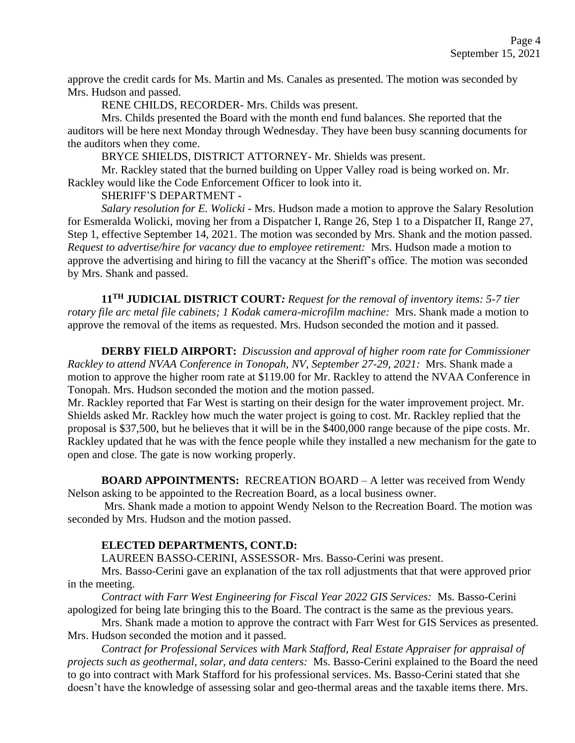approve the credit cards for Ms. Martin and Ms. Canales as presented. The motion was seconded by Mrs. Hudson and passed.

RENE CHILDS, RECORDER- Mrs. Childs was present.

Mrs. Childs presented the Board with the month end fund balances. She reported that the auditors will be here next Monday through Wednesday. They have been busy scanning documents for the auditors when they come.

BRYCE SHIELDS, DISTRICT ATTORNEY- Mr. Shields was present.

Mr. Rackley stated that the burned building on Upper Valley road is being worked on. Mr. Rackley would like the Code Enforcement Officer to look into it.

SHERIFF'S DEPARTMENT -

*Salary resolution for E. Wolicki -* Mrs. Hudson made a motion to approve the Salary Resolution for Esmeralda Wolicki, moving her from a Dispatcher I, Range 26, Step 1 to a Dispatcher II, Range 27, Step 1, effective September 14, 2021. The motion was seconded by Mrs. Shank and the motion passed. *Request to advertise/hire for vacancy due to employee retirement:* Mrs. Hudson made a motion to approve the advertising and hiring to fill the vacancy at the Sheriff's office. The motion was seconded by Mrs. Shank and passed.

**11TH JUDICIAL DISTRICT COURT***: Request for the removal of inventory items: 5-7 tier rotary file arc metal file cabinets; 1 Kodak camera-microfilm machine:* Mrs. Shank made a motion to approve the removal of the items as requested. Mrs. Hudson seconded the motion and it passed.

**DERBY FIELD AIRPORT:** *Discussion and approval of higher room rate for Commissioner Rackley to attend NVAA Conference in Tonopah, NV, September 27-29, 2021:* Mrs. Shank made a motion to approve the higher room rate at \$119.00 for Mr. Rackley to attend the NVAA Conference in Tonopah. Mrs. Hudson seconded the motion and the motion passed.

Mr. Rackley reported that Far West is starting on their design for the water improvement project. Mr. Shields asked Mr. Rackley how much the water project is going to cost. Mr. Rackley replied that the proposal is \$37,500, but he believes that it will be in the \$400,000 range because of the pipe costs. Mr. Rackley updated that he was with the fence people while they installed a new mechanism for the gate to open and close. The gate is now working properly.

**BOARD APPOINTMENTS:** RECREATION BOARD – A letter was received from Wendy Nelson asking to be appointed to the Recreation Board, as a local business owner.

Mrs. Shank made a motion to appoint Wendy Nelson to the Recreation Board. The motion was seconded by Mrs. Hudson and the motion passed.

# **ELECTED DEPARTMENTS, CONT.D:**

LAUREEN BASSO-CERINI, ASSESSOR- Mrs. Basso-Cerini was present.

Mrs. Basso-Cerini gave an explanation of the tax roll adjustments that that were approved prior in the meeting.

*Contract with Farr West Engineering for Fiscal Year 2022 GIS Services:* Ms. Basso-Cerini apologized for being late bringing this to the Board. The contract is the same as the previous years.

Mrs. Shank made a motion to approve the contract with Farr West for GIS Services as presented. Mrs. Hudson seconded the motion and it passed.

*Contract for Professional Services with Mark Stafford, Real Estate Appraiser for appraisal of projects such as geothermal, solar, and data centers:* Ms. Basso-Cerini explained to the Board the need to go into contract with Mark Stafford for his professional services. Ms. Basso-Cerini stated that she doesn't have the knowledge of assessing solar and geo-thermal areas and the taxable items there. Mrs.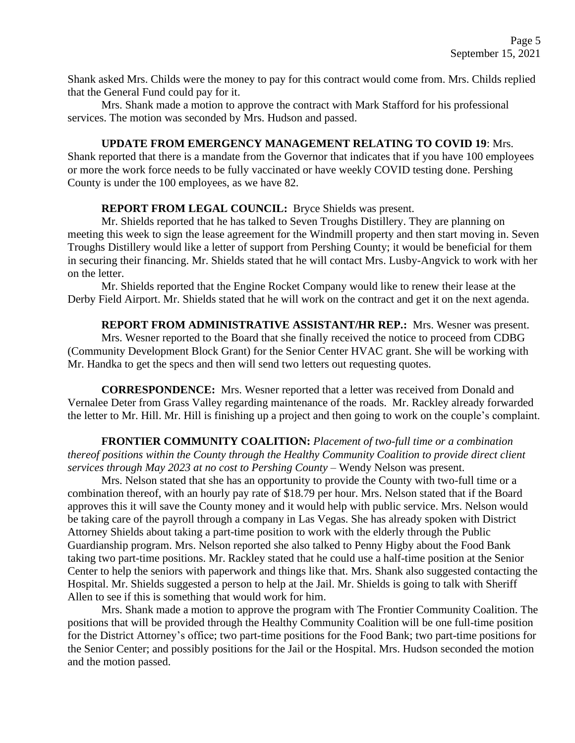Shank asked Mrs. Childs were the money to pay for this contract would come from. Mrs. Childs replied that the General Fund could pay for it.

Mrs. Shank made a motion to approve the contract with Mark Stafford for his professional services. The motion was seconded by Mrs. Hudson and passed.

## **UPDATE FROM EMERGENCY MANAGEMENT RELATING TO COVID 19**: Mrs.

Shank reported that there is a mandate from the Governor that indicates that if you have 100 employees or more the work force needs to be fully vaccinated or have weekly COVID testing done. Pershing County is under the 100 employees, as we have 82.

# **REPORT FROM LEGAL COUNCIL:** Bryce Shields was present.

Mr. Shields reported that he has talked to Seven Troughs Distillery. They are planning on meeting this week to sign the lease agreement for the Windmill property and then start moving in. Seven Troughs Distillery would like a letter of support from Pershing County; it would be beneficial for them in securing their financing. Mr. Shields stated that he will contact Mrs. Lusby-Angvick to work with her on the letter.

Mr. Shields reported that the Engine Rocket Company would like to renew their lease at the Derby Field Airport. Mr. Shields stated that he will work on the contract and get it on the next agenda.

**REPORT FROM ADMINISTRATIVE ASSISTANT/HR REP.:** Mrs. Wesner was present. Mrs. Wesner reported to the Board that she finally received the notice to proceed from CDBG (Community Development Block Grant) for the Senior Center HVAC grant. She will be working with Mr. Handka to get the specs and then will send two letters out requesting quotes.

**CORRESPONDENCE:** Mrs. Wesner reported that a letter was received from Donald and Vernalee Deter from Grass Valley regarding maintenance of the roads. Mr. Rackley already forwarded the letter to Mr. Hill. Mr. Hill is finishing up a project and then going to work on the couple's complaint.

**FRONTIER COMMUNITY COALITION:** *Placement of two-full time or a combination thereof positions within the County through the Healthy Community Coalition to provide direct client services through May 2023 at no cost to Pershing County –* Wendy Nelson was present.

Mrs. Nelson stated that she has an opportunity to provide the County with two-full time or a combination thereof, with an hourly pay rate of \$18.79 per hour. Mrs. Nelson stated that if the Board approves this it will save the County money and it would help with public service. Mrs. Nelson would be taking care of the payroll through a company in Las Vegas. She has already spoken with District Attorney Shields about taking a part-time position to work with the elderly through the Public Guardianship program. Mrs. Nelson reported she also talked to Penny Higby about the Food Bank taking two part-time positions. Mr. Rackley stated that he could use a half-time position at the Senior Center to help the seniors with paperwork and things like that. Mrs. Shank also suggested contacting the Hospital. Mr. Shields suggested a person to help at the Jail. Mr. Shields is going to talk with Sheriff Allen to see if this is something that would work for him.

Mrs. Shank made a motion to approve the program with The Frontier Community Coalition. The positions that will be provided through the Healthy Community Coalition will be one full-time position for the District Attorney's office; two part-time positions for the Food Bank; two part-time positions for the Senior Center; and possibly positions for the Jail or the Hospital. Mrs. Hudson seconded the motion and the motion passed.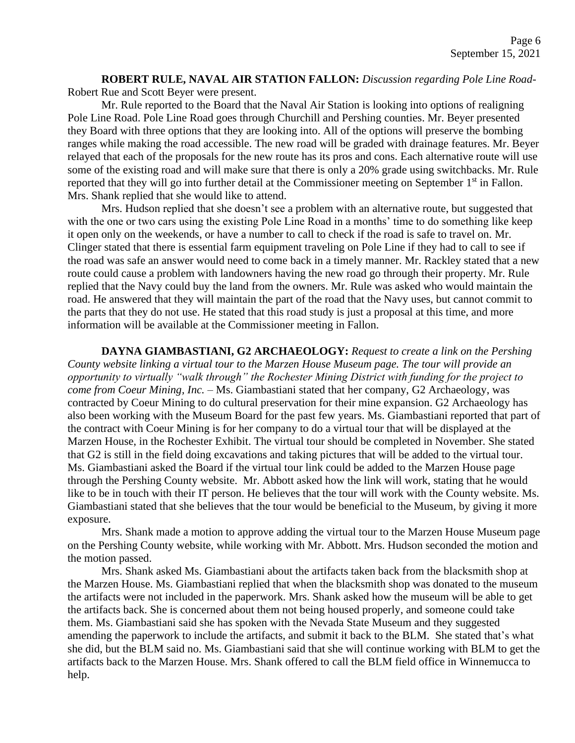**ROBERT RULE, NAVAL AIR STATION FALLON:** *Discussion regarding Pole Line Road-*Robert Rue and Scott Beyer were present.

Mr. Rule reported to the Board that the Naval Air Station is looking into options of realigning Pole Line Road. Pole Line Road goes through Churchill and Pershing counties. Mr. Beyer presented they Board with three options that they are looking into. All of the options will preserve the bombing ranges while making the road accessible. The new road will be graded with drainage features. Mr. Beyer relayed that each of the proposals for the new route has its pros and cons. Each alternative route will use some of the existing road and will make sure that there is only a 20% grade using switchbacks. Mr. Rule reported that they will go into further detail at the Commissioner meeting on September 1<sup>st</sup> in Fallon. Mrs. Shank replied that she would like to attend.

Mrs. Hudson replied that she doesn't see a problem with an alternative route, but suggested that with the one or two cars using the existing Pole Line Road in a months' time to do something like keep it open only on the weekends, or have a number to call to check if the road is safe to travel on. Mr. Clinger stated that there is essential farm equipment traveling on Pole Line if they had to call to see if the road was safe an answer would need to come back in a timely manner. Mr. Rackley stated that a new route could cause a problem with landowners having the new road go through their property. Mr. Rule replied that the Navy could buy the land from the owners. Mr. Rule was asked who would maintain the road. He answered that they will maintain the part of the road that the Navy uses, but cannot commit to the parts that they do not use. He stated that this road study is just a proposal at this time, and more information will be available at the Commissioner meeting in Fallon.

**DAYNA GIAMBASTIANI, G2 ARCHAEOLOGY:** *Request to create a link on the Pershing County website linking a virtual tour to the Marzen House Museum page. The tour will provide an opportunity to virtually "walk through" the Rochester Mining District with funding for the project to come from Coeur Mining, Inc. –* Ms. Giambastiani stated that her company, G2 Archaeology, was contracted by Coeur Mining to do cultural preservation for their mine expansion. G2 Archaeology has also been working with the Museum Board for the past few years. Ms. Giambastiani reported that part of the contract with Coeur Mining is for her company to do a virtual tour that will be displayed at the Marzen House, in the Rochester Exhibit. The virtual tour should be completed in November. She stated that G2 is still in the field doing excavations and taking pictures that will be added to the virtual tour. Ms. Giambastiani asked the Board if the virtual tour link could be added to the Marzen House page through the Pershing County website. Mr. Abbott asked how the link will work, stating that he would like to be in touch with their IT person. He believes that the tour will work with the County website. Ms. Giambastiani stated that she believes that the tour would be beneficial to the Museum, by giving it more exposure.

Mrs. Shank made a motion to approve adding the virtual tour to the Marzen House Museum page on the Pershing County website, while working with Mr. Abbott. Mrs. Hudson seconded the motion and the motion passed.

Mrs. Shank asked Ms. Giambastiani about the artifacts taken back from the blacksmith shop at the Marzen House. Ms. Giambastiani replied that when the blacksmith shop was donated to the museum the artifacts were not included in the paperwork. Mrs. Shank asked how the museum will be able to get the artifacts back. She is concerned about them not being housed properly, and someone could take them. Ms. Giambastiani said she has spoken with the Nevada State Museum and they suggested amending the paperwork to include the artifacts, and submit it back to the BLM. She stated that's what she did, but the BLM said no. Ms. Giambastiani said that she will continue working with BLM to get the artifacts back to the Marzen House. Mrs. Shank offered to call the BLM field office in Winnemucca to help.